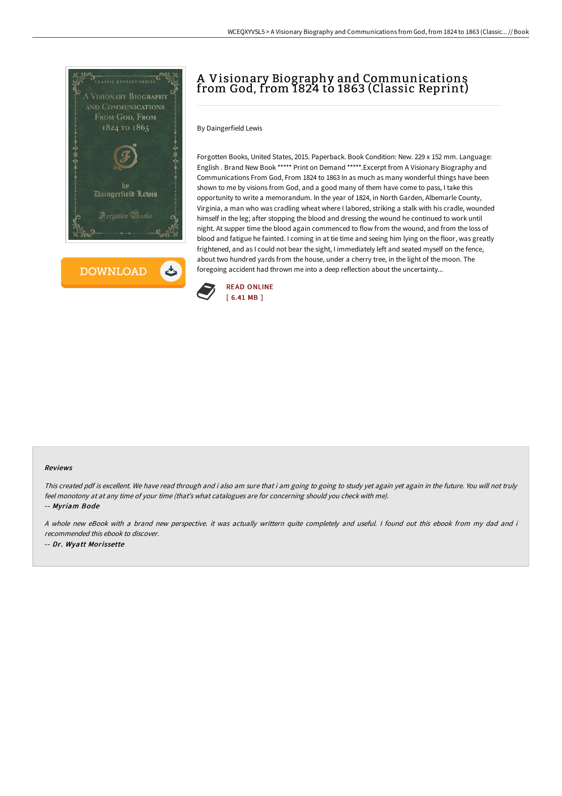



## A Visionary Biography and Communications from God, from 1824 to 1863 (Classic Reprint)

By Daingerfield Lewis

Forgotten Books, United States, 2015. Paperback. Book Condition: New. 229 x 152 mm. Language: English . Brand New Book \*\*\*\*\* Print on Demand \*\*\*\*\*.Excerpt from A Visionary Biography and Communications From God, From 1824 to 1863 In as much as many wonderful things have been shown to me by visions from God, and a good many of them have come to pass, I take this opportunity to write a memorandum. In the year of 1824, in North Garden, Albemarle County, Virginia, a man who was cradling wheat where I labored, striking a stalk with his cradle, wounded himself in the leg; after stopping the blood and dressing the wound he continued to work until night. At supper time the blood again commenced to flow from the wound, and from the loss of blood and fatigue he fainted. I coming in at tie time and seeing him lying on the floor, was greatly frightened, and as I could not bear the sight, I immediately left and seated myself on the fence, about two hundred yards from the house, under a cherry tree, in the light of the moon. The foregoing accident had thrown me into a deep reflection about the uncertainty...



## Reviews

This created pdf is excellent. We have read through and i also am sure that i am going to going to study yet again yet again in the future. You will not truly feel monotony at at any time of your time (that's what catalogues are for concerning should you check with me).

-- Myriam Bode

A whole new eBook with <sup>a</sup> brand new perspective. it was actually writtern quite completely and useful. I found out this ebook from my dad and i recommended this ebook to discover.

-- Dr. Wyatt Morissette